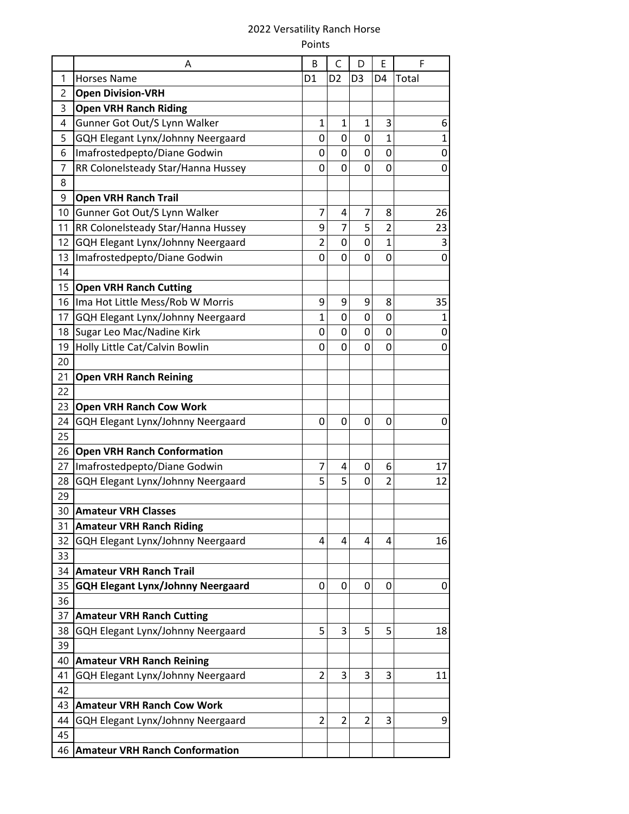## 2022 Versatility Ranch Horse Points

|    | A                                        | B              | C              | D              | Е              | F            |
|----|------------------------------------------|----------------|----------------|----------------|----------------|--------------|
| 1  | <b>Horses Name</b>                       | D <sub>1</sub> | D <sub>2</sub> | D <sub>3</sub> | D4             | Total        |
| 2  | <b>Open Division-VRH</b>                 |                |                |                |                |              |
| 3  | <b>Open VRH Ranch Riding</b>             |                |                |                |                |              |
| 4  | Gunner Got Out/S Lynn Walker             | $\mathbf{1}$   | $\mathbf{1}$   | $\mathbf 1$    | 3              | 6            |
| 5  | GQH Elegant Lynx/Johnny Neergaard        | 0              | 0              | $\mathbf 0$    | $\overline{1}$ | $\mathbf{1}$ |
| 6  | Imafrostedpepto/Diane Godwin             | 0              | 0              | 0              | 0              | 0            |
| 7  | RR Colonelsteady Star/Hanna Hussey       | 0              | 0              | 0              | 0              | 0            |
| 8  |                                          |                |                |                |                |              |
| 9  | <b>Open VRH Ranch Trail</b>              |                |                |                |                |              |
| 10 | Gunner Got Out/S Lynn Walker             | 7              | 4              | 7              | 8              | 26           |
| 11 | RR Colonelsteady Star/Hanna Hussey       | 9              | $\overline{7}$ | 5              | $\overline{2}$ | 23           |
| 12 | GQH Elegant Lynx/Johnny Neergaard        | $\overline{2}$ | 0              | $\mathbf 0$    | $\overline{1}$ | 3            |
| 13 | Imafrostedpepto/Diane Godwin             | 0              | 0              | 0              | 0              | 0            |
| 14 |                                          |                |                |                |                |              |
| 15 | <b>Open VRH Ranch Cutting</b>            |                |                |                |                |              |
| 16 | Ima Hot Little Mess/Rob W Morris         | 9              | 9              | 9              | 8              | 35           |
| 17 | GQH Elegant Lynx/Johnny Neergaard        | 1              | 0              | 0              | $\mathbf 0$    | $\mathbf 1$  |
| 18 | Sugar Leo Mac/Nadine Kirk                | 0              | 0              | 0              | 0              | 0            |
| 19 | Holly Little Cat/Calvin Bowlin           | 0              | 0              | 0              | 0              | 0            |
| 20 |                                          |                |                |                |                |              |
| 21 | <b>Open VRH Ranch Reining</b>            |                |                |                |                |              |
| 22 |                                          |                |                |                |                |              |
| 23 | <b>Open VRH Ranch Cow Work</b>           |                |                |                |                |              |
| 24 | GQH Elegant Lynx/Johnny Neergaard        | 0              | 0              | 0              | 0              | 0            |
| 25 |                                          |                |                |                |                |              |
| 26 | <b>Open VRH Ranch Conformation</b>       |                |                |                |                |              |
| 27 | Imafrostedpepto/Diane Godwin             | 7              | 4              | 0              | 6              | 17           |
| 28 | GQH Elegant Lynx/Johnny Neergaard        | 5              | 5              | 0              | 2              | 12           |
| 29 |                                          |                |                |                |                |              |
| 30 | <b>Amateur VRH Classes</b>               |                |                |                |                |              |
| 31 | <b>Amateur VRH Ranch Riding</b>          |                |                |                |                |              |
| 32 | GQH Elegant Lynx/Johnny Neergaard        | 4              | 4              | 4              | 4              | 16           |
| 33 |                                          |                |                |                |                |              |
| 34 | <b>Amateur VRH Ranch Trail</b>           |                |                |                |                |              |
| 35 | <b>GQH Elegant Lynx/Johnny Neergaard</b> | 0              | 0              | 0              | 0              | 0            |
| 36 |                                          |                |                |                |                |              |
| 37 | <b>Amateur VRH Ranch Cutting</b>         |                |                |                |                |              |
| 38 | GQH Elegant Lynx/Johnny Neergaard        | 5              | 3              | 5              | 5              | 18           |
| 39 |                                          |                |                |                |                |              |
| 40 | <b>Amateur VRH Ranch Reining</b>         |                |                |                |                |              |
| 41 | GQH Elegant Lynx/Johnny Neergaard        | $\overline{2}$ | 3              | 3              | 3              | 11           |
| 42 |                                          |                |                |                |                |              |
| 43 | <b>Amateur VRH Ranch Cow Work</b>        |                |                |                |                |              |
| 44 | GQH Elegant Lynx/Johnny Neergaard        | $\overline{2}$ | $\overline{2}$ | $\overline{2}$ | 3              | 9            |
| 45 |                                          |                |                |                |                |              |
| 46 | <b>Amateur VRH Ranch Conformation</b>    |                |                |                |                |              |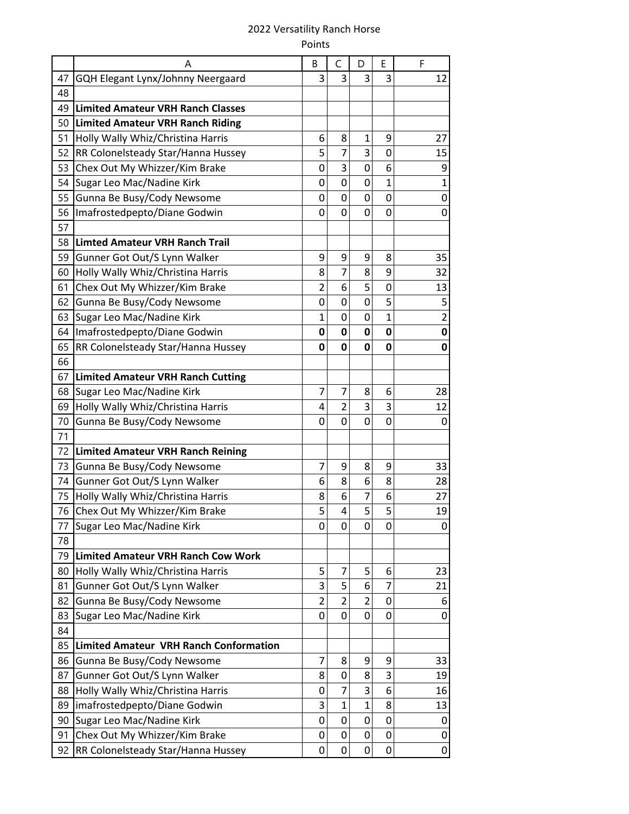## 2022 Versatility Ranch Horse Points

|    | A                                             | B              | C              | D              | Е              | F                       |
|----|-----------------------------------------------|----------------|----------------|----------------|----------------|-------------------------|
| 47 | GQH Elegant Lynx/Johnny Neergaard             | 3              | 3              | 3              | 3              | 12                      |
| 48 |                                               |                |                |                |                |                         |
| 49 | <b>Limited Amateur VRH Ranch Classes</b>      |                |                |                |                |                         |
| 50 | <b>Limited Amateur VRH Ranch Riding</b>       |                |                |                |                |                         |
| 51 | Holly Wally Whiz/Christina Harris             | 6              | 8              | 1              | 9              | 27                      |
| 52 | RR Colonelsteady Star/Hanna Hussey            | 5              | 7              | 3              | 0              | 15                      |
| 53 | Chex Out My Whizzer/Kim Brake                 | 0              | 3              | 0              | 6              | 9                       |
| 54 | Sugar Leo Mac/Nadine Kirk                     | 0              | 0              | $\mathbf 0$    | 1              | $\mathbf{1}$            |
| 55 | Gunna Be Busy/Cody Newsome                    | 0              | 0              | 0              | 0              | 0                       |
| 56 | Imafrostedpepto/Diane Godwin                  | 0              | 0              | 0              | 0              | 0                       |
| 57 |                                               |                |                |                |                |                         |
| 58 | <b>Limted Amateur VRH Ranch Trail</b>         |                |                |                |                |                         |
| 59 | Gunner Got Out/S Lynn Walker                  | 9              | 9              | 9              | 8              | 35                      |
| 60 | Holly Wally Whiz/Christina Harris             | 8              | 7              | 8              | 9              | 32                      |
| 61 | Chex Out My Whizzer/Kim Brake                 | $\overline{2}$ | 6              | 5              | 0              | 13                      |
| 62 | Gunna Be Busy/Cody Newsome                    | 0              | 0              | 0              | 5              | 5                       |
| 63 | Sugar Leo Mac/Nadine Kirk                     | $\mathbf{1}$   | 0              | 0              | $\overline{1}$ | $\overline{\mathbf{c}}$ |
| 64 | Imafrostedpepto/Diane Godwin                  | 0              | $\mathbf 0$    | $\mathbf 0$    | $\mathbf 0$    | 0                       |
| 65 | RR Colonelsteady Star/Hanna Hussey            | 0              | 0              | 0              | 0              | 0                       |
| 66 |                                               |                |                |                |                |                         |
| 67 | <b>Limited Amateur VRH Ranch Cutting</b>      |                |                |                |                |                         |
| 68 | Sugar Leo Mac/Nadine Kirk                     | 7              | 7              | 8              | 6              | 28                      |
| 69 | Holly Wally Whiz/Christina Harris             | 4              | $\overline{2}$ | 3              | 3              | 12                      |
| 70 | Gunna Be Busy/Cody Newsome                    | 0              | 0              | 0              | 0              | 0                       |
| 71 |                                               |                |                |                |                |                         |
| 72 | <b>Limited Amateur VRH Ranch Reining</b>      |                |                |                |                |                         |
| 73 | Gunna Be Busy/Cody Newsome                    | 7              | 9              | 8              | 9              | 33                      |
| 74 | Gunner Got Out/S Lynn Walker                  | 6              | 8              | 6              | 8              | 28                      |
| 75 | Holly Wally Whiz/Christina Harris             | 8              | 6              | 7              | 6              | 27                      |
| 76 | Chex Out My Whizzer/Kim Brake                 | 5              | $\overline{4}$ | 5              | 5              | 19                      |
| 77 | Sugar Leo Mac/Nadine Kirk                     | 0              | 0              | 0              | 0              | 0                       |
| 78 |                                               |                |                |                |                |                         |
| 79 | <b>Limited Amateur VRH Ranch Cow Work</b>     |                |                |                |                |                         |
| 80 | Holly Wally Whiz/Christina Harris             | 5              | 7              | 5              | 6              | 23                      |
| 81 | Gunner Got Out/S Lynn Walker                  | 3              | 5              | 6              | 7              | 21                      |
| 82 | Gunna Be Busy/Cody Newsome                    | $\overline{2}$ | $\overline{2}$ | $\overline{2}$ | $\mathbf 0$    | 6                       |
| 83 | Sugar Leo Mac/Nadine Kirk                     | 0              | 0              | 0              | 0              | 0                       |
| 84 |                                               |                |                |                |                |                         |
| 85 | <b>Limited Amateur VRH Ranch Conformation</b> |                |                |                |                |                         |
| 86 | Gunna Be Busy/Cody Newsome                    | 7              | 8              | 9              | 9              | 33                      |
| 87 | Gunner Got Out/S Lynn Walker                  | 8              | 0              | 8              | 3              | 19                      |
| 88 | Holly Wally Whiz/Christina Harris             | 0              | 7              | 3              | 6              | 16                      |
| 89 | imafrostedpepto/Diane Godwin                  | 3              | $\mathbf{1}$   | $\overline{1}$ | 8              | 13                      |
| 90 | Sugar Leo Mac/Nadine Kirk                     | 0              | 0              | 0              | 0              | 0                       |
| 91 | Chex Out My Whizzer/Kim Brake                 | 0              | 0              | 0              | 0              | 0                       |
| 92 | RR Colonelsteady Star/Hanna Hussey            | 0              | 0              | 0              | 0              | 0                       |